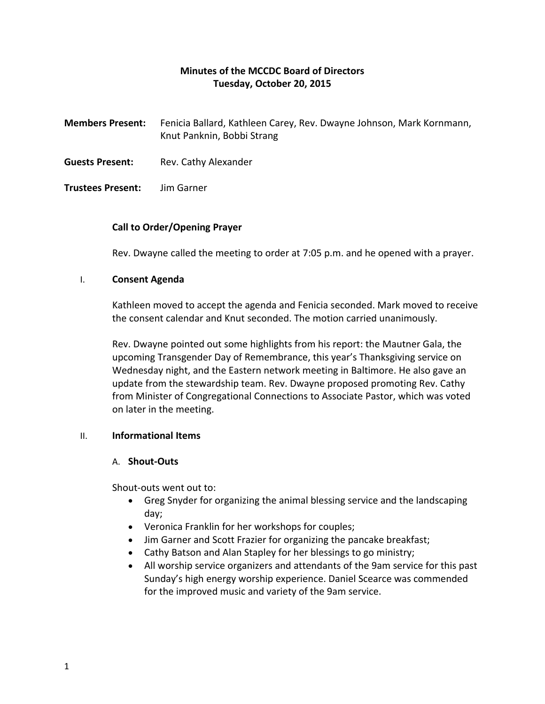# **Minutes of the MCCDC Board of Directors Tuesday, October 20, 2015**

- **Members Present:** Fenicia Ballard, Kathleen Carey, Rev. Dwayne Johnson, Mark Kornmann, Knut Panknin, Bobbi Strang
- **Guests Present:** Rev. Cathy Alexander

### **Trustees Present:** Jim Garner

### **Call to Order/Opening Prayer**

Rev. Dwayne called the meeting to order at 7:05 p.m. and he opened with a prayer.

#### I. **Consent Agenda**

Kathleen moved to accept the agenda and Fenicia seconded. Mark moved to receive the consent calendar and Knut seconded. The motion carried unanimously.

Rev. Dwayne pointed out some highlights from his report: the Mautner Gala, the upcoming Transgender Day of Remembrance, this year's Thanksgiving service on Wednesday night, and the Eastern network meeting in Baltimore. He also gave an update from the stewardship team. Rev. Dwayne proposed promoting Rev. Cathy from Minister of Congregational Connections to Associate Pastor, which was voted on later in the meeting.

# II. **Informational Items**

#### A. **Shout-Outs**

Shout-outs went out to:

- Greg Snyder for organizing the animal blessing service and the landscaping day;
- Veronica Franklin for her workshops for couples;
- Jim Garner and Scott Frazier for organizing the pancake breakfast;
- Cathy Batson and Alan Stapley for her blessings to go ministry;
- All worship service organizers and attendants of the 9am service for this past Sunday's high energy worship experience. Daniel Scearce was commended for the improved music and variety of the 9am service.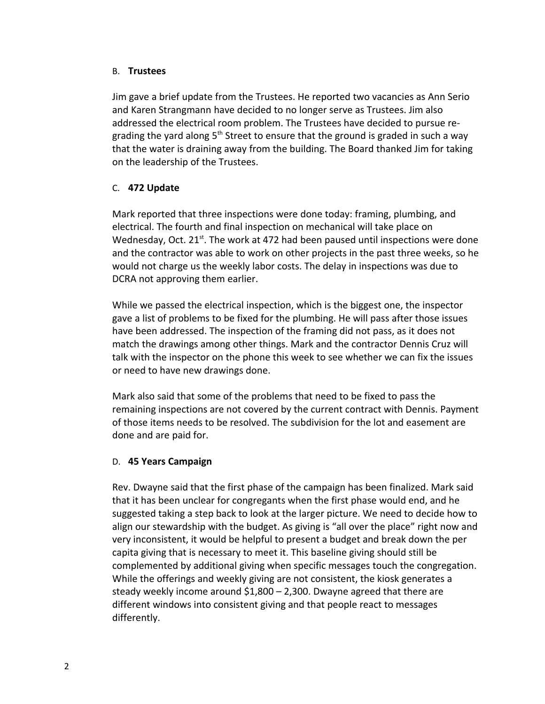# B. **Trustees**

Jim gave a brief update from the Trustees. He reported two vacancies as Ann Serio and Karen Strangmann have decided to no longer serve as Trustees. Jim also addressed the electrical room problem. The Trustees have decided to pursue regrading the yard along  $5<sup>th</sup>$  Street to ensure that the ground is graded in such a way that the water is draining away from the building. The Board thanked Jim for taking on the leadership of the Trustees.

# C. **472 Update**

Mark reported that three inspections were done today: framing, plumbing, and electrical. The fourth and final inspection on mechanical will take place on Wednesday, Oct. 21<sup>st</sup>. The work at 472 had been paused until inspections were done and the contractor was able to work on other projects in the past three weeks, so he would not charge us the weekly labor costs. The delay in inspections was due to DCRA not approving them earlier.

While we passed the electrical inspection, which is the biggest one, the inspector gave a list of problems to be fixed for the plumbing. He will pass after those issues have been addressed. The inspection of the framing did not pass, as it does not match the drawings among other things. Mark and the contractor Dennis Cruz will talk with the inspector on the phone this week to see whether we can fix the issues or need to have new drawings done.

Mark also said that some of the problems that need to be fixed to pass the remaining inspections are not covered by the current contract with Dennis. Payment of those items needs to be resolved. The subdivision for the lot and easement are done and are paid for.

# D. **45 Years Campaign**

Rev. Dwayne said that the first phase of the campaign has been finalized. Mark said that it has been unclear for congregants when the first phase would end, and he suggested taking a step back to look at the larger picture. We need to decide how to align our stewardship with the budget. As giving is "all over the place" right now and very inconsistent, it would be helpful to present a budget and break down the per capita giving that is necessary to meet it. This baseline giving should still be complemented by additional giving when specific messages touch the congregation. While the offerings and weekly giving are not consistent, the kiosk generates a steady weekly income around \$1,800 – 2,300. Dwayne agreed that there are different windows into consistent giving and that people react to messages differently.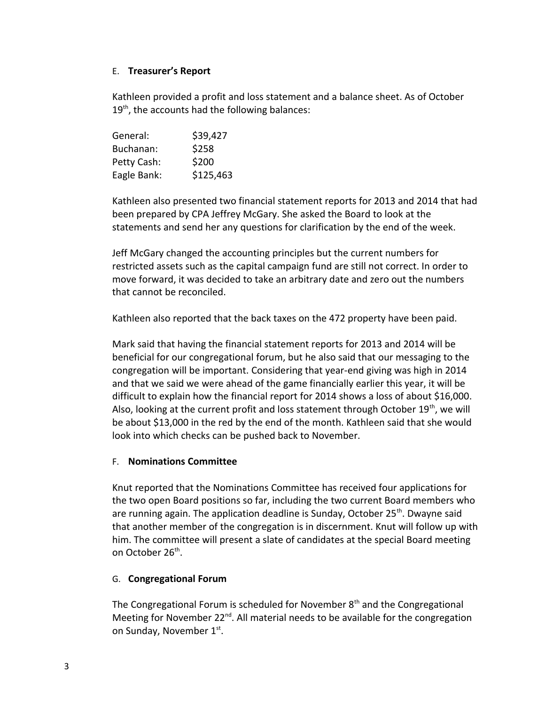# E. **Treasurer's Report**

Kathleen provided a profit and loss statement and a balance sheet. As of October  $19<sup>th</sup>$ , the accounts had the following balances:

| General:    | \$39,427  |
|-------------|-----------|
| Buchanan:   | \$258     |
| Petty Cash: | \$200     |
| Eagle Bank: | \$125,463 |

Kathleen also presented two financial statement reports for 2013 and 2014 that had been prepared by CPA Jeffrey McGary. She asked the Board to look at the statements and send her any questions for clarification by the end of the week.

Jeff McGary changed the accounting principles but the current numbers for restricted assets such as the capital campaign fund are still not correct. In order to move forward, it was decided to take an arbitrary date and zero out the numbers that cannot be reconciled.

Kathleen also reported that the back taxes on the 472 property have been paid.

Mark said that having the financial statement reports for 2013 and 2014 will be beneficial for our congregational forum, but he also said that our messaging to the congregation will be important. Considering that year-end giving was high in 2014 and that we said we were ahead of the game financially earlier this year, it will be difficult to explain how the financial report for 2014 shows a loss of about \$16,000. Also, looking at the current profit and loss statement through October 19<sup>th</sup>, we will be about \$13,000 in the red by the end of the month. Kathleen said that she would look into which checks can be pushed back to November.

# F. **Nominations Committee**

Knut reported that the Nominations Committee has received four applications for the two open Board positions so far, including the two current Board members who are running again. The application deadline is Sunday, October  $25<sup>th</sup>$ . Dwayne said that another member of the congregation is in discernment. Knut will follow up with him. The committee will present a slate of candidates at the special Board meeting on October 26<sup>th</sup>.

# G. **Congregational Forum**

The Congregational Forum is scheduled for November  $8<sup>th</sup>$  and the Congregational Meeting for November  $22^{nd}$ . All material needs to be available for the congregation on Sunday, November 1st.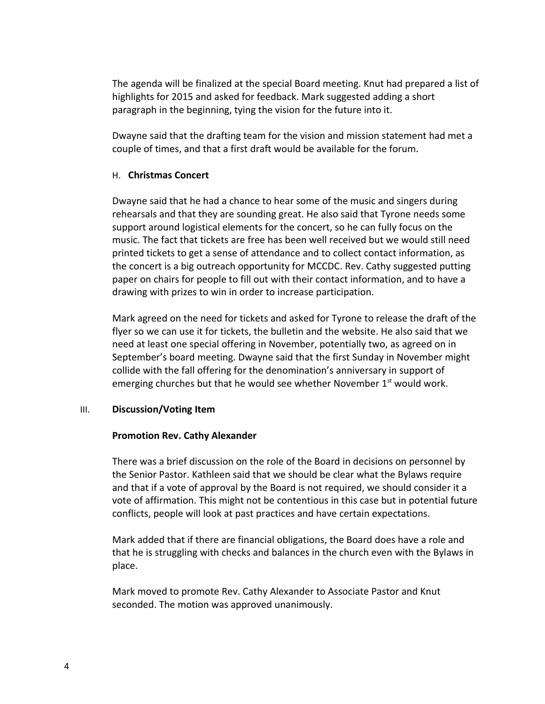The agenda will be finalized at the special Board meeting. Knut had prepared a list of highlights for 2015 and asked for feedback. Mark suggested adding a short paragraph in the beginning, tying the vision for the future into it.

Dwayne said that the drafting team for the vision and mission statement had met a couple of times, and that a first draft would be available for the forum.

# H. **Christmas Concert**

Dwayne said that he had a chance to hear some of the music and singers during rehearsals and that they are sounding great. He also said that Tyrone needs some support around logistical elements for the concert, so he can fully focus on the music. The fact that tickets are free has been well received but we would still need printed tickets to get a sense of attendance and to collect contact information, as the concert is a big outreach opportunity for MCCDC. Rev. Cathy suggested putting paper on chairs for people to fill out with their contact information, and to have a drawing with prizes to win in order to increase participation.

Mark agreed on the need for tickets and asked for Tyrone to release the draft of the flyer so we can use it for tickets, the bulletin and the website. He also said that we need at least one special offering in November, potentially two, as agreed on in September's board meeting. Dwayne said that the first Sunday in November might collide with the fall offering for the denomination's anniversary in support of emerging churches but that he would see whether November  $1<sup>st</sup>$  would work.

# III. **Discussion/Voting Item**

# **Promotion Rev. Cathy Alexander**

There was a brief discussion on the role of the Board in decisions on personnel by the Senior Pastor. Kathleen said that we should be clear what the Bylaws require and that if a vote of approval by the Board is not required, we should consider it a vote of affirmation. This might not be contentious in this case but in potential future conflicts, people will look at past practices and have certain expectations.

Mark added that if there are financial obligations, the Board does have a role and that he is struggling with checks and balances in the church even with the Bylaws in place.

Mark moved to promote Rev. Cathy Alexander to Associate Pastor and Knut seconded. The motion was approved unanimously.